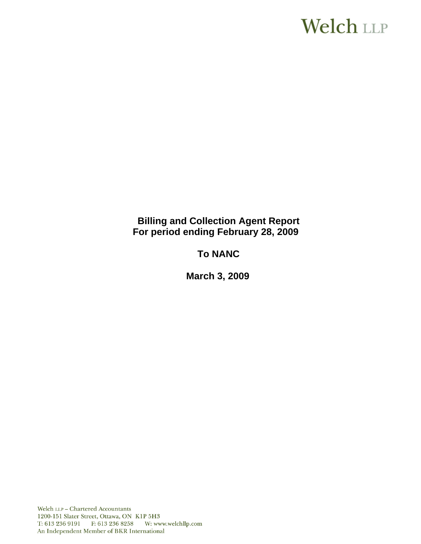# **Welch LLP**

# **Billing and Collection Agent Report For period ending February 28, 2009**

# **To NANC**

 **March 3, 2009**

Welch LLP - Chartered Accountants 1200-151 Slater Street, Ottawa, ON K1P 5H3 T: 613 236 9191 F: 613 236 8258 W: www.welchllp.com An Independent Member of BKR International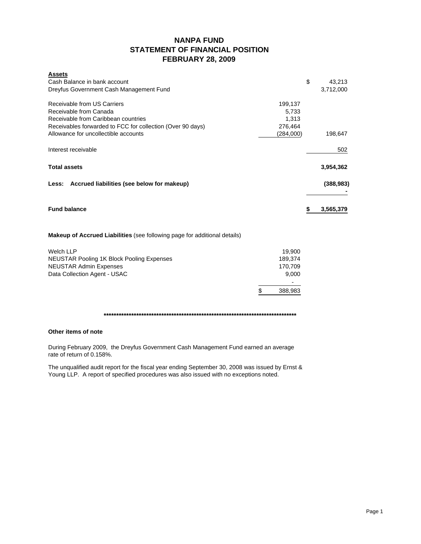# **NANPA FUND STATEMENT OF FINANCIAL POSITION FEBRUARY 28, 2009**

| <b>Assets</b>                                                             |           |            |
|---------------------------------------------------------------------------|-----------|------------|
| Cash Balance in bank account                                              | \$        | 43,213     |
| Dreyfus Government Cash Management Fund                                   |           | 3,712,000  |
| Receivable from US Carriers                                               | 199,137   |            |
| Receivable from Canada                                                    | 5,733     |            |
| Receivable from Caribbean countries                                       | 1,313     |            |
| Receivables forwarded to FCC for collection (Over 90 days)                | 276,464   |            |
| Allowance for uncollectible accounts                                      | (284,000) | 198,647    |
| Interest receivable                                                       |           | 502        |
| <b>Total assets</b>                                                       |           | 3,954,362  |
| Accrued liabilities (see below for makeup)<br>Less:                       |           | (388, 983) |
| <b>Fund balance</b>                                                       | \$        | 3,565,379  |
| Makeup of Accrued Liabilities (see following page for additional details) |           |            |
| <b>Welch LLP</b>                                                          | 19,900    |            |
| NEUSTAR Pooling 1K Block Pooling Expenses                                 | 189,374   |            |
| <b>NEUSTAR Admin Expenses</b>                                             | 170,709   |            |
| Data Collection Agent - USAC                                              | 9.000     |            |

**\*\*\*\*\*\*\*\*\*\*\*\*\*\*\*\*\*\*\*\*\*\*\*\*\*\*\*\*\*\*\*\*\*\*\*\*\*\*\*\*\*\*\*\*\*\*\*\*\*\*\*\*\*\*\*\*\*\*\*\*\*\*\*\*\*\*\*\*\*\*\*\*\*\*\*\*\***

- 1990 - 1990 - 1990 - 1990 - 1990 - 1990 - 1990 - 1990 - 1990 - 1990 - 1990 - 1990 - 1990 - 1990 - 1990 - 199 \$ 388,983

### **Other items of note**

During February 2009, the Dreyfus Government Cash Management Fund earned an average rate of return of 0.158%.

The unqualified audit report for the fiscal year ending September 30, 2008 was issued by Ernst & Young LLP. A report of specified procedures was also issued with no exceptions noted.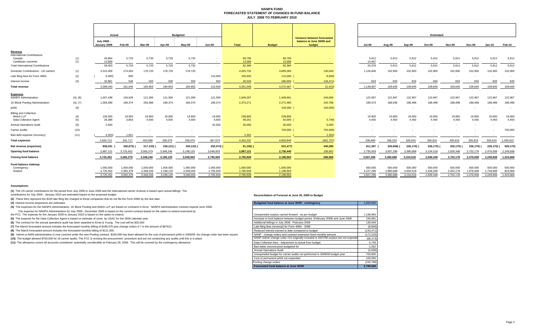#### **NANPA FUND FORECASTED STATEMENT OF CHANGES IN FUND BALANCEJULY 2008 TO FEBRUARY 2010**

|                                              |            |                             | Actual                 |                        | <b>Budgeted</b>          |                        |                        |                        |                        |                                                                    |                      | Estimated            |                      |                      |                          |                      |                      |                    |
|----------------------------------------------|------------|-----------------------------|------------------------|------------------------|--------------------------|------------------------|------------------------|------------------------|------------------------|--------------------------------------------------------------------|----------------------|----------------------|----------------------|----------------------|--------------------------|----------------------|----------------------|--------------------|
|                                              |            | July 2008 -<br>January 2009 | Feb-09                 | Mar-09                 | Apr-09                   | $May-09$               | <b>Jun-09</b>          | <b>Total</b>           | <b>Budget</b>          | Variance between forecasted<br>balance at June 30/08 and<br>budget | <b>Jul-09</b>        | Aug-09               | Sep-09               | Oct-09               | <b>Nov-09</b>            | Dec-09               | <b>Jan-10</b>        | Feb-10             |
| Revenue                                      |            |                             |                        |                        |                          |                        |                        |                        |                        |                                                                    |                      |                      |                      |                      |                          |                      |                      |                    |
| <b>International Contributions</b><br>Canada | (1)        | 45,864                      | 5,733                  | 5,733                  | 5,733                    | 5,732                  |                        | 68,795                 | 68,795                 |                                                                    | 5,912                | 5,912                | 5,912                | 5,912                | 5,912                    | 5,912                | 5,912                | 5,912              |
| Caribbean countries                          | (1)        | 13,589                      | $\sim$                 | $\sim$                 |                          |                        | $\sim$                 | 13,589                 | 13,589                 |                                                                    | 14,467               |                      | $\sim$               | $\sim$               | $\sim$                   |                      | $\sim$               | $\sim$             |
| <b>Total International Contributions</b>     |            | 59,453                      | 5,733                  | 5,733                  | 5,733                    | 5,732                  | $\sim$                 | 82,384                 | 82,384                 |                                                                    | 20,379               | 5,912                | 5,912                | 5,912                | 5,912                    | 5,912                | 5,912                | 5,912              |
| Domestic Contributions - US carriers         | (1)        | 3,315,009                   | 174,563                | 178,720                | 178,720                  | 178,720                |                        | 4,025,732              | 3,895,083              | 130,649                                                            | 1,126,845            | 102,900              | 102,900              | 102,900              | 102,900                  | 102,900              | 102,900              | 102,900            |
| Late filing fees for Form 499A               | (2)        | 9,400                       | 800                    |                        |                          |                        | 115,000                | 106,400                | 115,000                | 8,600)                                                             |                      |                      |                      |                      | $\overline{\phantom{a}}$ |                      |                      |                    |
| Interest income                              | (3)        | 33,981                      | 548                    | 500                    | 500                      | 500                    | 500                    | 36,529                 | 180,000                | 143,471)                                                           | 833                  | 833                  | 833                  | 833                  | 833                      | 833                  | 833                  | 833                |
| <b>Total revenue</b>                         |            | 3,399,043                   | 181,644                | 184,953                | 184,953                  | 184,952                | 115,500                | 4,251,045              | 4,272,467              | 21,422)                                                            | 1,148,057            | 109,645              | 109,645              | 109,645              | 109,645                  | 109,645              | 109,645              | 109,645            |
| <b>Expenses</b>                              |            |                             |                        |                        |                          |                        |                        |                        |                        |                                                                    |                      |                      |                      |                      |                          |                      |                      |                    |
| <b>NANPA Administration</b>                  | (4), (8)   | 1,037,438                   | 126,629                | 121,300                | 121,300                  | 121,300                | 121,300                | 1,649,267              | 1,408,661              | 240,606                                                            | 122,967              | 122,967              | 122,967              | 122,967              | 122,967                  | 122,967              | 122,967              | 122,967            |
| 1K Block Pooling Administration              | (4), (7)   | 1,359,389                   | 189,374                | 256,386                | 189,374                  | 189,374                | 189,374                | 2,373,271              | 2,272,483              | 100,788                                                            | 189,373              | 188,936              | 188,498              | 188,498              | 188,498                  | 188,498              | 188,498              | 188,498            |
| pANI                                         | (9)        | $\sim$                      |                        |                        |                          |                        |                        |                        | 100,000                | 100,000)                                                           | $\sim$               |                      |                      |                      |                          |                      |                      |                    |
| <b>Billing and Collection</b>                |            |                             |                        |                        |                          |                        |                        |                        |                        |                                                                    |                      |                      |                      |                      |                          |                      |                      |                    |
| Welch LLP<br>Data Collection Agent           | (4)<br>(5) | 139,300<br>26,388           | 19,900<br>3.863        | 19,900<br>4,500        | 19,900<br>4,500          | 19,900<br>4.500        | 19,900<br>4,500        | 238,800<br>48,251      | 238,800<br>54,000      | <b>Contract</b><br>5,749                                           | 19,900<br>4,450      | 19,900<br>4.450      | 19,900<br>4,450      | 19,900<br>4.450      | 19,900<br>4,450          | 19,900<br>4,450      | 19,900<br>4,450      | 19,900<br>4,450    |
| <b>Annual Operations Audit</b>               | (6)        | 2,500                       |                        |                        | $\overline{\phantom{a}}$ |                        | 32,500                 | 35,000                 | 30,000                 | 5,000                                                              |                      |                      |                      |                      |                          |                      |                      |                    |
| <b>Carrier Audits</b>                        | (10)       | $\sim$                      |                        |                        |                          |                        | $\sim$                 | <b>Section</b>         | 700,000                | 700,000)                                                           |                      |                      |                      |                      |                          |                      |                      | 700,000            |
| Bad debt expense (recovery)                  | (11)       | 4,303)                      | 1,951                  |                        | $\sim$                   |                        | $\sim$                 | 2,352                  | <b>Section</b>         | 2,352                                                              | $\sim$               |                      | $\sim$               | $\sim$               |                          |                      | $\sim$               | $\sim$ $-$         |
| <b>Total expenses</b>                        |            | 2,560,712                   | 341.717                | 402,086                | 335,074                  | 335,074                | 367,574                | 4,342,237              | 4,803,944              | (461, 707)                                                         | 336,690              | 336,253              | 335,815              | 335,815              | 335,815                  | 335,815              | 335,815              | 1,035,815          |
| Net revenue (expenses)                       |            | 838,331                     | 160,073) (             | 217,133) (             | 150,121) (               | 150,122) (             | 252,074) (             | $91,192)$ (            | 531,477)               | 440,285                                                            | 811,367              | 226,608)             | 226,170) (           | 226,170) (           | 226,170)                 | 226,170)             | 226,170) (           | 926,170            |
| <b>Opening fund balance</b>                  |            | 2,887,121                   | 3,725,452              | 3,565,379              | 3,348,246                | 3,198,125              | 3,048,003              | 2,887,121              | 2,730,440              | 156,681                                                            | 2,795,929            | 3,607,296            | 3,380,688            | 3,154,518            | 2,928,348                | 2,702,178            | 2,476,008            | 2,249,838          |
|                                              |            |                             |                        |                        |                          |                        |                        |                        |                        |                                                                    |                      |                      |                      |                      |                          |                      |                      |                    |
| <b>Closing fund balance</b>                  |            | 3,725,452                   | 3,565,379              | 3,348,246              | 3,198,125                | 3,048,003              | 2,795,929              | 2,795,929              | 2,198,963              | 596,966                                                            | 3,607,296            | 3,380,688            | 3,154,518            | 2,928,348            | 2,702,178                | 2,476,008            | 2,249,838            | 1,323,668          |
| Fund balance makeup:                         |            |                             |                        |                        |                          |                        |                        |                        |                        |                                                                    |                      |                      |                      |                      |                          |                      |                      |                    |
| Contingency<br>Surplus                       |            | 1.000.000<br>2,725,452      | 1.000.000<br>2,565,379 | 1.000.000<br>2,348,246 | 1.000.000<br>2,198,125   | 1,000,000<br>2,048,003 | 1,000,000<br>1,795,929 | 1,000,000<br>1,795,929 | 1,000,000<br>1,198,963 |                                                                    | 500,000<br>3,107,296 | 500,000<br>2,880,688 | 500,000<br>2,654,518 | 500,000<br>2,428,348 | 500,000<br>2,202,178     | 500.000<br>1,976,008 | 500,000<br>1,749,838 | 500,000<br>823,668 |
|                                              |            | 3,725,452                   | 3.565.379              | 3,348,246              | 3,198,125                | 3.048.003              | 2.795.929              | 2,795,929              | 2.198.963              |                                                                    | 3.607.296            | 3.380.688            | 3.154.518            | 2.928.348            | 2.702.178                | 2.476.008            | 2.249.838            | 1.323.668          |

|                        | <b>Estimated</b>       |                          |                      |                        |                        |                        |                     |  |  |  |  |
|------------------------|------------------------|--------------------------|----------------------|------------------------|------------------------|------------------------|---------------------|--|--|--|--|
| <b>Jul-09</b>          | Aug-09                 | Sep-09                   | Oct-09               | <b>Nov-09</b>          | Dec-09                 | Jan-10                 | Feb-10              |  |  |  |  |
| 5,912<br>14,467        | 5.912<br>$\sim$        | 5,912                    | 5,912<br>$\sim$      | 5.912<br>۰.            | 5,912<br>$\sim$        | 5.912<br>$\sim$        | 5,912<br>$\sim$ $-$ |  |  |  |  |
| 20,379                 | 5,912                  | 5,912                    | 5,912                | 5,912                  | 5,912                  | 5,912                  | 5,912               |  |  |  |  |
| 1,126,845              | 102,900                | 102,900                  | 102,900              | 102,900                | 102,900                | 102,900                | 102,900             |  |  |  |  |
|                        |                        | $\overline{\phantom{a}}$ | ÷.                   | $\overline{a}$         | $\overline{a}$         |                        | ÷                   |  |  |  |  |
| 833                    | 833                    | 833                      | 833                  | 833                    | 833                    | 833                    | 833                 |  |  |  |  |
| 1,148,057              | 109,645                | 109.645                  | 109.645              | 109.645                | 109,645                | 109.645                | 109,645             |  |  |  |  |
| 122,967                | 122,967                | 122,967                  | 122,967              | 122,967                | 122,967                | 122,967                | 122,967             |  |  |  |  |
| 189,373                | 188,936                | 188,498                  | 188,498              | 188,498                | 188,498                | 188,498                | 188,498             |  |  |  |  |
|                        |                        |                          |                      |                        |                        |                        |                     |  |  |  |  |
| 19,900<br>4,450        | 19,900<br>4,450        | 19,900<br>4,450          | 19,900<br>4,450      | 19,900<br>4,450        | 19,900<br>4,450        | 19,900<br>4,450        | 19,900<br>4,450     |  |  |  |  |
|                        |                        |                          |                      |                        |                        |                        |                     |  |  |  |  |
|                        |                        |                          |                      |                        |                        |                        | 700,000             |  |  |  |  |
|                        |                        |                          |                      |                        |                        |                        |                     |  |  |  |  |
| 336,690                | 336,253                | 335,815                  | 335,815              | 335,815                | 335,815                | 335,815                | 1,035,815           |  |  |  |  |
| 811,367 (              | 226,608) (             | 226,170) (               | 226,170) (           | 226,170) (             | 226,170) (             | 226,170) (             | 926,170)            |  |  |  |  |
| 2,795,929              | 3,607,296              | 3,380,688                | 3,154,518            | 2,928,348              | 2,702,178              | 2,476,008              | 2,249,838           |  |  |  |  |
| 3,607,296              | 3,380,688              | 3,154,518                | 2,928,348            | 2,702,178              | 2,476,008              | 2,249,838              | 1,323,668           |  |  |  |  |
| 500,000                | 500,000                | 500,000                  | 500.000              | 500,000                | 500,000                | 500,000                | 500,000             |  |  |  |  |
| 3,107,296<br>3 607 206 | 2,880,688<br>3 380 688 | 2,654,518<br>3 154 518   | 2,428,348<br>2028348 | 2,202,178<br>2.702.178 | 1,976,008<br>2.476.008 | 1,749,838<br>2.240.838 | 823,668<br>1, 22268 |  |  |  |  |

#### **Assumptions:**

**(1)** The US carrier contributions for the period from July 2008 to June 2009 and the International carrier revenue is based upon actual billings The contributions for July 2009 - January 2010 are estimated based on the proposed budget

**(2)** These fees represent the \$100 late filing fee charged to those companies that do not file the Form 499A by the due date.

#### **Reconciliation of Forecast at June 30, 2009 to Budget**

| (3) Interest income projections are estimates                                                                                                                                           | Budgeted fund balance at June 30/09 - contingency                                  | 1,000,000  |
|-----------------------------------------------------------------------------------------------------------------------------------------------------------------------------------------|------------------------------------------------------------------------------------|------------|
| (4) The expenses for the NANPA Administration, 1K Block Pooling and Welch LLP are based on contracts in force. NANPA Administration contract expired June 2008.                         |                                                                                    |            |
| The expense for NANPA Administration for July 2008 - December 2008 is based on the current contract based on the option to extend exercised by                                          |                                                                                    |            |
| the FCC. The expense for the January 2009 to January 2010 is based on the option to extend.                                                                                             | Unexpended surplus carried forward - as per budget                                 | 1,198,963  |
| (5) The expense for the Data Collection Agent is based on estimate of costs by USAC for the 2008 calendar year.                                                                         | Increase in fund balance between budget period (February 2008) and June 2008       | 156,681    |
| (6) The contract for the annual operations audit has been awarded to Ernst & Young. The cost will be \$32,500                                                                           | Additional billings in July 2008 - February 2009                                   | 130,649    |
| (7) The March forecasted amount includes the forecasted monthly billing of \$189,375 plus change orders 5-7 in the amount of \$67012.                                                   | Late filing fees (reversal) for Form 499A - 2008                                   | (8,600)    |
| (8) The March forecasted amount includes the forecasted monthly billing of \$121,300.                                                                                                   | Reduced interest earned to date compared to budget                                 | (143, 471) |
| (9) Interim p-ANNI administration is now covered under the new Pooling contract. \$100,000 has been allowed for the cost of permanent pANI in 2008/09. No change order has been issued. | NANP - change orders and contract extension fixed monthly amount                   | (172, 233) |
| (10) The budget allowed \$700,000 for 16 carrier audits. The FCC is revising the procurement procedure and are not conducting any audits until this is in place.                        | NANP Admin change order #15 originally included in 2007/08 surplus but not expende | (68, 373)  |
| (11) The allowance covers all accounts considered potentially uncollectible at February 28, 2009. This will be covered by the contingency allowance.                                    | Data Collection fees - Adjustment to actual from budget                            | 5,749      |
|                                                                                                                                                                                         | Bad debts (recovery) not budgeted for                                              | 2.352      |
|                                                                                                                                                                                         | <b>Annual Operations Audit</b>                                                     | (5,000)    |
|                                                                                                                                                                                         | Unexpended budget for carrier audits not performed in 2008/09 budget year          | 700,000    |
|                                                                                                                                                                                         | Cost of permanent pANI not expended                                                | 100,000    |
|                                                                                                                                                                                         | Pooling change orders                                                              | (100, 788) |
|                                                                                                                                                                                         | Forecasted fund balance at June 30/09                                              | 2,795,929  |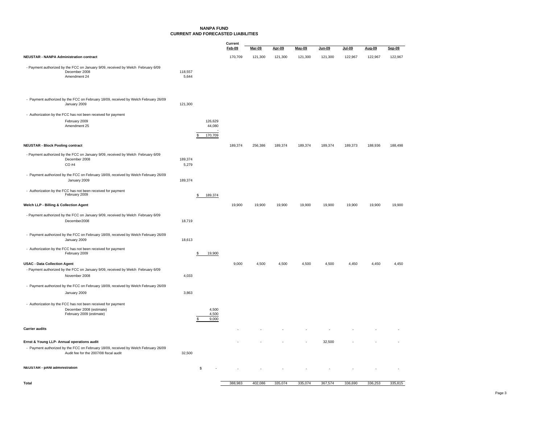### **NANPA FUNDCURRENT AND FORECASTED LIABILITIES**

|                                                                                                                               |                  |                               | Current<br>Feb-09 | <b>Mar-09</b> | Apr-09  | May-09  | Jun-09  | Jul-09  | Aug-09  | Sep-09  |
|-------------------------------------------------------------------------------------------------------------------------------|------------------|-------------------------------|-------------------|---------------|---------|---------|---------|---------|---------|---------|
| <b>NEUSTAR - NANPA Administration contract</b>                                                                                |                  |                               | 170,709           | 121,300       | 121,300 | 121,300 | 121,300 | 122,967 | 122,967 | 122,967 |
|                                                                                                                               |                  |                               |                   |               |         |         |         |         |         |         |
| - Payment authorized by the FCC on January 9/09, received by Welch February 6/09<br>December 2008<br>Amendment 24             | 118,557<br>5,644 |                               |                   |               |         |         |         |         |         |         |
| - Payment authorized by the FCC on February 18/09, received by Welch February 26/09<br>January 2009                           | 121,300          |                               |                   |               |         |         |         |         |         |         |
| - Authorization by the FCC has not been received for payment                                                                  |                  |                               |                   |               |         |         |         |         |         |         |
| February 2009                                                                                                                 |                  | 126,629                       |                   |               |         |         |         |         |         |         |
| Amendment 25                                                                                                                  |                  | 44,080                        |                   |               |         |         |         |         |         |         |
|                                                                                                                               |                  | 170,709<br>\$                 |                   |               |         |         |         |         |         |         |
| <b>NEUSTAR - Block Pooling contract</b>                                                                                       |                  |                               | 189,374           | 256,386       | 189,374 | 189,374 | 189,374 | 189,373 | 188,936 | 188,498 |
| - Payment authorized by the FCC on January 9/09, received by Welch February 6/09                                              |                  |                               |                   |               |         |         |         |         |         |         |
| December 2008<br>$CO$ #4                                                                                                      | 189,374<br>5,279 |                               |                   |               |         |         |         |         |         |         |
|                                                                                                                               |                  |                               |                   |               |         |         |         |         |         |         |
| - Payment authorized by the FCC on February 18/09, received by Welch February 26/09<br>January 2009                           | 189,374          |                               |                   |               |         |         |         |         |         |         |
| - Authorization by the FCC has not been received for payment<br>February 2009                                                 |                  | \$<br>189,374                 |                   |               |         |         |         |         |         |         |
| Welch LLP - Billing & Collection Agent                                                                                        |                  |                               | 19,900            | 19,900        | 19,900  | 19,900  | 19,900  | 19,900  | 19,900  | 19,900  |
| - Payment authorized by the FCC on January 9/09, received by Welch February 6/09                                              |                  |                               |                   |               |         |         |         |         |         |         |
| December2008                                                                                                                  | 18,719           |                               |                   |               |         |         |         |         |         |         |
| - Payment authorized by the FCC on February 18/09, received by Welch February 26/09<br>January 2009                           | 18,613           |                               |                   |               |         |         |         |         |         |         |
| - Authorization by the FCC has not been received for payment<br>February 2009                                                 |                  | \$<br>19,900                  |                   |               |         |         |         |         |         |         |
| <b>USAC - Data Collection Agent</b>                                                                                           |                  |                               | 9,000             | 4,500         | 4,500   | 4,500   | 4,500   | 4,450   | 4,450   | 4,450   |
| - Payment authorized by the FCC on January 9/09, received by Welch February 6/09                                              |                  |                               |                   |               |         |         |         |         |         |         |
| November 2008                                                                                                                 | 4,033            |                               |                   |               |         |         |         |         |         |         |
| - Payment authorized by the FCC on February 18/09, received by Welch February 26/09<br>January 2009                           | 3,863            |                               |                   |               |         |         |         |         |         |         |
|                                                                                                                               |                  |                               |                   |               |         |         |         |         |         |         |
| - Authorization by the FCC has not been received for payment<br>December 2008 (estimate)<br>February 2009 (estimate)          |                  | 4.500<br>4,500<br>9,000<br>£. |                   |               |         |         |         |         |         |         |
| <b>Carrier audits</b>                                                                                                         |                  |                               |                   |               |         |         |         |         |         |         |
| Ernst & Young LLP- Annual operations audit                                                                                    |                  |                               |                   |               |         |         | 32,500  |         |         |         |
| - Payment authorized by the FCC on February 18/09, received by Welch February 26/09<br>Audit fee for the 2007/08 fiscal audit | 32,500           |                               |                   |               |         |         |         |         |         |         |
| <b>NEUSTAR - pANI administration</b>                                                                                          |                  | \$                            |                   |               |         |         |         |         |         |         |

**Total** 402,086 388,983 335,074 335,074 367,574 336,690 336,253 335,815

Page 3